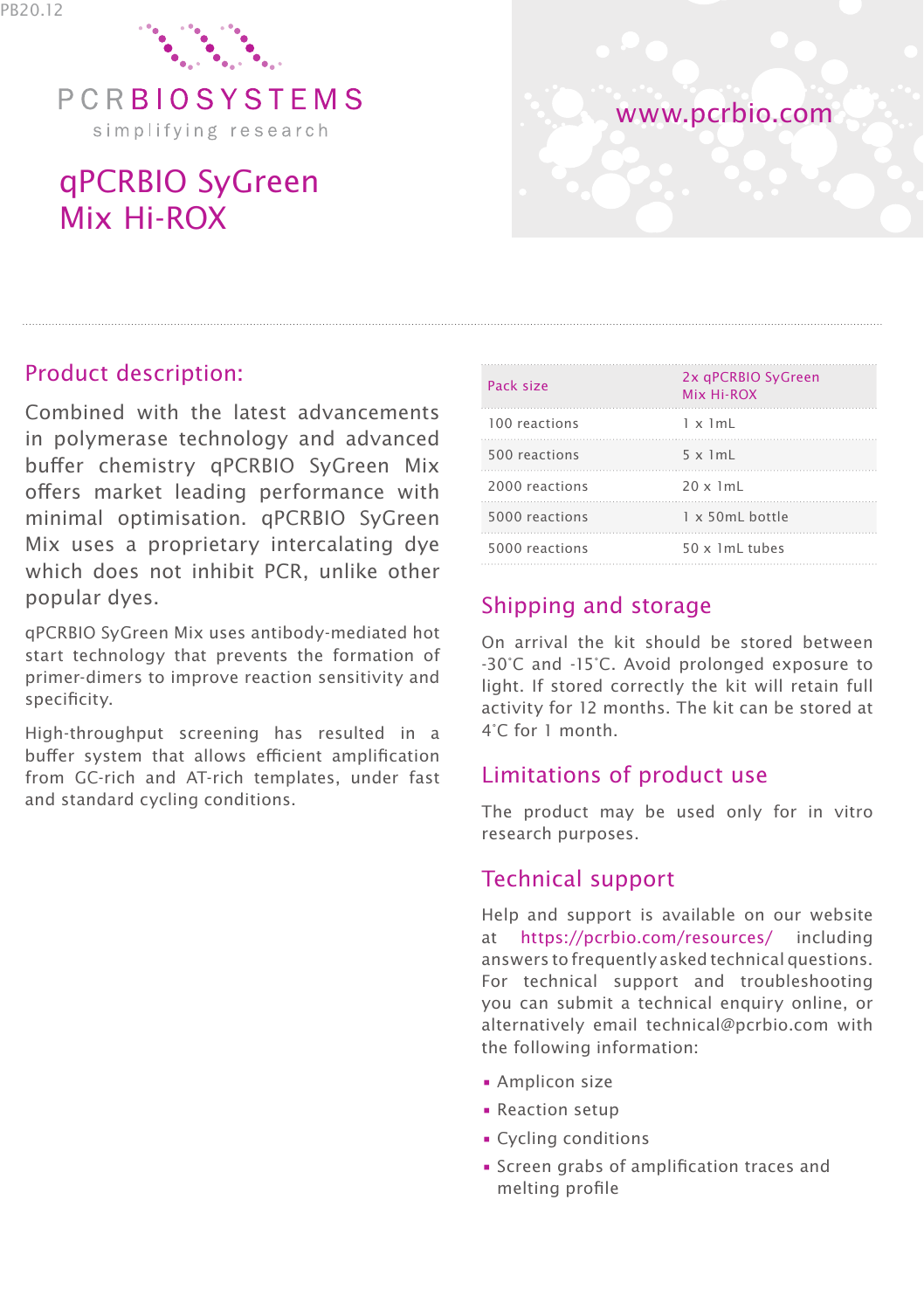

simplifying research

# qPCRBIO SyGreen Mix Hi-ROX



# Product description:

Combined with the latest advancements in polymerase technology and advanced buffer chemistry qPCRBIO SyGreen Mix offers market leading performance with minimal optimisation. qPCRBIO SyGreen Mix uses a proprietary intercalating dye which does not inhibit PCR, unlike other popular dyes.

qPCRBIO SyGreen Mix uses antibody-mediated hot start technology that prevents the formation of primer-dimers to improve reaction sensitivity and specificity.

High-throughput screening has resulted in a buffer system that allows efficient amplification from GC-rich and AT-rich templates, under fast and standard cycling conditions.

| Pack size      | 2x qPCRBIO SyGreen<br>Mix Hi-ROX |
|----------------|----------------------------------|
| 100 reactions  | $1 \times 1m$                    |
| 500 reactions  | $5 \times 1mL$                   |
| 2000 reactions | $20 \times 1m$ L                 |
| 5000 reactions | $1 \times 50$ mL bottle          |
| 5000 reactions | $50 \times 1$ mL tubes           |

## Shipping and storage

On arrival the kit should be stored between -30°C and -15°C. Avoid prolonged exposure to light. If stored correctly the kit will retain full activity for 12 months. The kit can be stored at 4°C for 1 month.

## Limitations of product use

The product may be used only for in vitro research purposes.

## Technical support

Help and support is available on our website at https://pcrbio.com/resources/ including answers to frequently asked technical questions. For technical support and troubleshooting you can submit a technical enquiry online, or alternatively email technical@pcrbio.com with the following information:

- Amplicon size
- Reaction setup
- Cycling conditions
- Screen grabs of amplification traces and melting profile